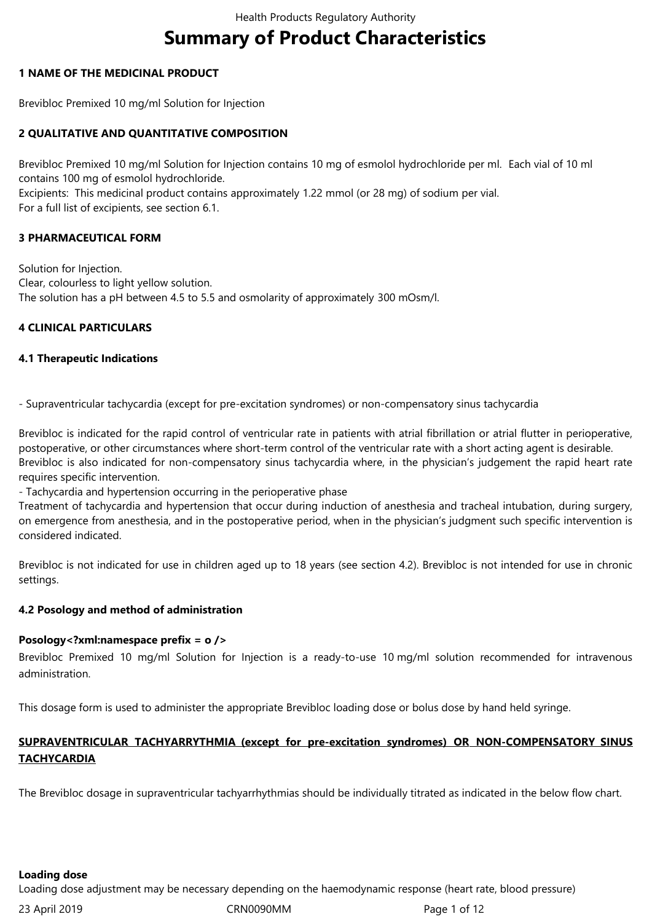# **Summary of Product Characteristics**

## **1 NAME OF THE MEDICINAL PRODUCT**

Brevibloc Premixed 10 mg/ml Solution for Injection

## **2 QUALITATIVE AND QUANTITATIVE COMPOSITION**

Brevibloc Premixed 10 mg/ml Solution for Injection contains 10 mg of esmolol hydrochloride per ml. Each vial of 10 ml contains 100 mg of esmolol hydrochloride. Excipients: This medicinal product contains approximately 1.22 mmol (or 28 mg) of sodium per vial. For a full list of excipients, see section 6.1.

## **3 PHARMACEUTICAL FORM**

Solution for Injection. Clear, colourless to light yellow solution. The solution has a pH between 4.5 to 5.5 and osmolarity of approximately 300 mOsm/l.

## **4 CLINICAL PARTICULARS**

## **4.1 Therapeutic Indications**

- Supraventricular tachycardia (except for pre-excitation syndromes) or non-compensatory sinus tachycardia

Brevibloc is indicated for the rapid control of ventricular rate in patients with atrial fibrillation or atrial flutter in perioperative, postoperative, or other circumstances where short-term control of the ventricular rate with a short acting agent is desirable. Brevibloc is also indicated for non-compensatory sinus tachycardia where, in the physician's judgement the rapid heart rate requires specific intervention.

- Tachycardia and hypertension occurring in the perioperative phase

Treatment of tachycardia and hypertension that occur during induction of anesthesia and tracheal intubation, during surgery, on emergence from anesthesia, and in the postoperative period, when in the physician's judgment such specific intervention is consideredindicated.

Brevibloc is not indicated for use in children aged up to 18 years (see section 4.2). Brevibloc is not intended for use in chronic settings.

## **4.2 Posology and method of administration**

## **Posology<?xml:namespace prefix = o />**

Brevibloc Premixed 10 mg/ml Solution for Injection is a ready-to-use 10 mg/ml solution recommended for intravenous administration.

This dosage form is used to administer the appropriate Brevibloc loading dose or bolus dose by hand held syringe.

# **SUPRAVENTRICULAR TACHYARRYTHMIA (except for pre-excitation syndromes) OR NON-COMPENSATORY SINUS TACHYCARDIA**

The Brevibloc dosage in supraventricular tachyarrhythmias should be individually titrated as indicated in the below flow chart.

**Loading dose**

Loading dose adjustment may be necessary depending on the haemodynamic response (heart rate, blood pressure)

23April2019 CRN0090MM Page1of12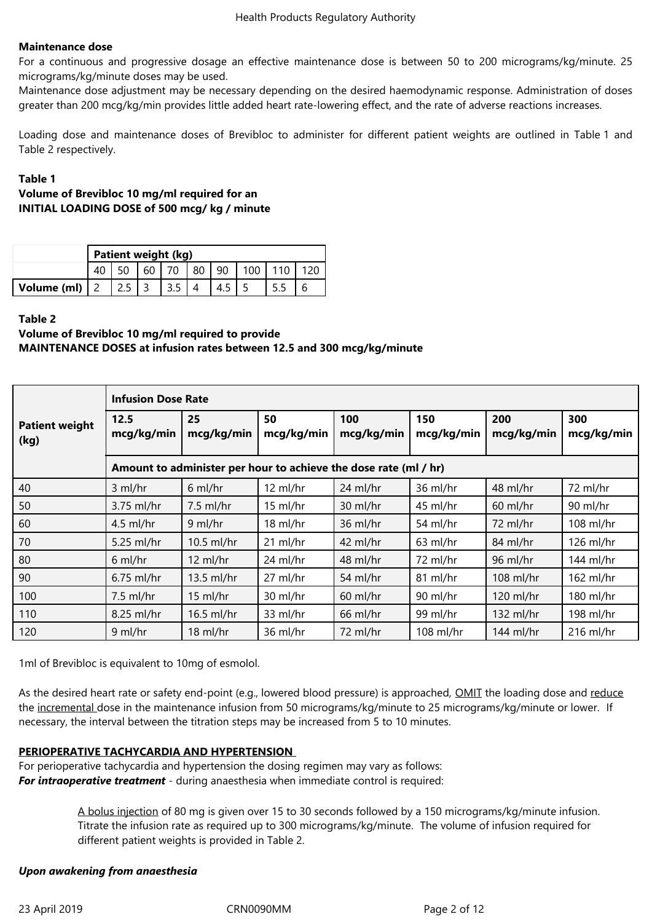## **Maintenance dose**

For a continuous and progressive dosage an effective maintenance dose is between 50 to 200 micrograms/kg/minute. 25 micrograms/kg/minute doses may be used.

Maintenance dose adjustment may be necessary depending on the desired haemodynamic response. Administration of doses greater than 200 mcg/kg/min provides little added heart rate-lowering effect, and the rate of adverse reactions increases.

Loading dose and maintenance doses of Brevibloc to administer for different patient weights are outlined in Table 1 and Table 2 respectively.

## **Table 1**

## **Volume of Brevibloc 10 mg/ml required for an INITIAL LOADING DOSE of 500 mcg/ kg / minute**

|             | Patient weight (kg) |  |    |  |  |    |  |  |  |
|-------------|---------------------|--|----|--|--|----|--|--|--|
|             |                     |  | 60 |  |  | 90 |  |  |  |
| Volume (ml) |                     |  |    |  |  |    |  |  |  |

## **Table 2**

# **Volume of Brevibloc 10 mg/ml required to provide MAINTENANCE DOSES at infusion rates between 12.5 and 300 mcg/kg/minute**

|                               | <b>Infusion Dose Rate</b>                                        |                  |                    |                   |                   |                   |                   |  |  |
|-------------------------------|------------------------------------------------------------------|------------------|--------------------|-------------------|-------------------|-------------------|-------------------|--|--|
| <b>Patient weight</b><br>(kg) | 12.5<br>mcg/kg/min                                               | 25<br>mcg/kg/min | 50<br>mcg/kg/min   | 100<br>mcg/kg/min | 150<br>mcg/kg/min | 200<br>mcg/kg/min | 300<br>mcg/kg/min |  |  |
|                               | Amount to administer per hour to achieve the dose rate (ml / hr) |                  |                    |                   |                   |                   |                   |  |  |
| 40                            | $3$ ml/hr                                                        | $6$ ml/hr        | $12 \text{ ml/hr}$ | 24 ml/hr          | 36 ml/hr          | 48 ml/hr          | 72 ml/hr          |  |  |
| 50                            | 3.75 ml/hr                                                       | $7.5$ ml/hr      | $15$ ml/hr         | 30 ml/hr          | 45 ml/hr          | $60$ ml/hr        | 90 ml/hr          |  |  |
| 60                            | $4.5$ ml/hr                                                      | 9 ml/hr          | 18 ml/hr           | 36 ml/hr          | 54 ml/hr          | 72 ml/hr          | 108 ml/hr         |  |  |
| 70                            | 5.25 ml/hr                                                       | $10.5$ ml/hr     | $21$ ml/hr         | 42 ml/hr          | $63$ ml/hr        | 84 ml/hr          | 126 ml/hr         |  |  |
| 80                            | $6$ ml/hr                                                        | 12 ml/hr         | 24 ml/hr           | 48 ml/hr          | 72 ml/hr          | 96 ml/hr          | 144 ml/hr         |  |  |
| 90                            | $6.75$ ml/hr                                                     | 13.5 ml/hr       | 27 ml/hr           | 54 ml/hr          | 81 ml/hr          | 108 ml/hr         | 162 ml/hr         |  |  |
| 100                           | $7.5$ ml/hr                                                      | 15 ml/hr         | 30 ml/hr           | $60$ ml/hr        | 90 ml/hr          | 120 ml/hr         | 180 ml/hr         |  |  |
| 110                           | 8.25 ml/hr                                                       | $16.5$ ml/hr     | 33 ml/hr           | 66 ml/hr          | 99 ml/hr          | 132 ml/hr         | 198 ml/hr         |  |  |
| 120                           | $9$ ml/hr                                                        | $18$ ml/hr       | 36 ml/hr           | 72 ml/hr          | 108 ml/hr         | 144 $ml/hr$       | $216$ ml/hr       |  |  |

1ml of Brevibloc is equivalent to 10mg of esmolol.

As the desired heart rate or safety end-point (e.g., lowered blood pressure) is approached, OMIT the loading dose and reduce the incremental dose in the maintenance infusion from 50 micrograms/kg/minute to 25 micrograms/kg/minute or lower. If necessary, the interval between the titration steps may be increased from 5 to 10 minutes.

# **PERIOPERATIVE TACHYCARDIA AND HYPERTENSION**

For perioperative tachycardia and hypertension the dosing regimen may vary as follows: **For intraoperative treatment** - during anaesthesia when immediate control is required:

> A bolus injection of 80 mg is given over 15 to 30 seconds followed by a 150 micrograms/kg/minute infusion. Titrate the infusion rate as required up to 300 micrograms/kg/minute. The volume of infusion required for different patient weights is provided in Table 2.

# *Upon awakening from anaesthesia*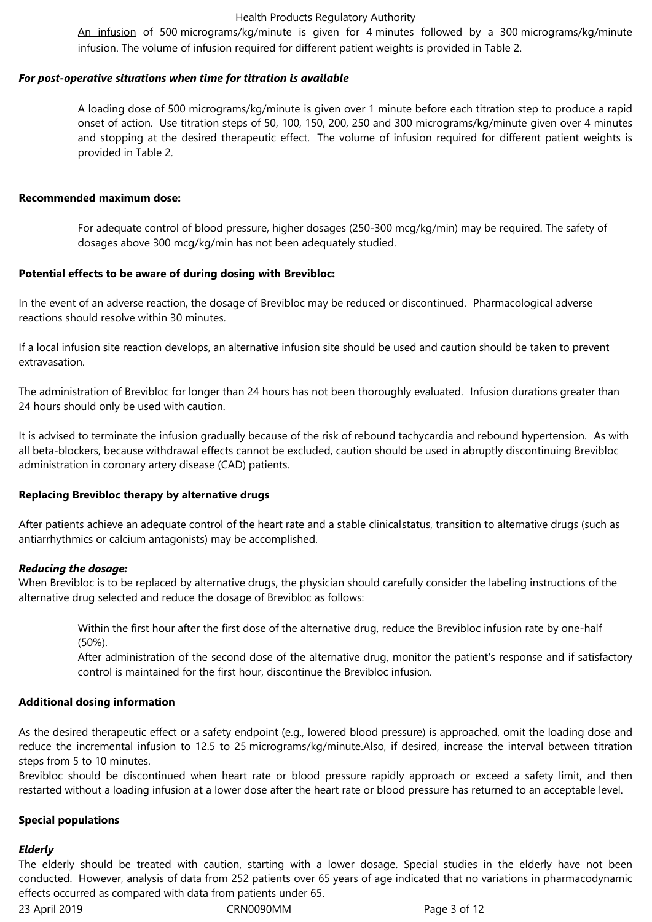#### Health Products Regulatory Authority

An infusion of 500 micrograms/kg/minute is given for 4 minutes followed by a 300 micrograms/kg/minute infusion. The volume of infusion required for different patient weights is provided in Table 2.

#### *For post-operative situations when time for titration is available*

A loading dose of 500 micrograms/kg/minute is given over 1 minute before each titration step to produce a rapid onset of action. Use titration steps of 50, 100, 150, 200, 250 and 300 micrograms/kg/minute given over 4 minutes and stopping at the desired therapeutic effect. The volume of infusion required for different patient weights is provided in Table 2.

#### **Recommended maximum dose:**

For adequate control of blood pressure, higher dosages (250-300 mcg/kg/min) may be required. The safety of dosages above 300 mcg/kg/min has not been adequately studied.

#### **Potential effects to be aware of during dosing with Brevibloc:**

In the event of an adverse reaction, the dosage of Brevibloc may be reduced or discontinued. Pharmacological adverse reactions should resolve within 30 minutes.

If a local infusion site reaction develops, an alternative infusion site should be used and caution should be taken to prevent extravasation.

The administration of Brevibloc for longer than 24 hours has not been thoroughly evaluated. Infusion durations greater than 24 hours should only be used with caution.

It is advised to terminate the infusion gradually because of the risk of rebound tachycardia and rebound hypertension. As with all beta-blockers, because withdrawal effects cannot be excluded, caution should be used in abruptly discontinuing Brevibloc administration in coronary artery disease (CAD) patients.

## **Replacing Brevibloc therapy by alternative drugs**

After patients achieve an adequate control of the heart rate and a stable clinicalstatus, transition to alternative drugs (such as antiarrhythmics or calcium antagonists) may be accomplished.

## *Reducing the dosage:*

When Brevibloc is to be replaced by alternative drugs, the physician should carefully consider the labeling instructions of the alternative drug selected and reduce the dosage of Brevibloc as follows:

Within the first hour after the first dose of the alternative drug, reduce the Brevibloc infusion rate by one-half (50%).

After administration of the second dose of the alternative drug, monitor the patient's response and if satisfactory control is maintained for the first hour, discontinue the Brevibloc infusion.

#### **Additional dosing information**

As the desired therapeutic effect or a safety endpoint (e.g., lowered blood pressure) is approached, omit the loading dose and reduce the incremental infusion to 12.5 to 25 micrograms/kg/minute.Also, if desired, increase the interval between titration steps from 5 to 10 minutes.

Brevibloc should be discontinued when heart rate or blood pressure rapidly approach or exceed a safety limit, and then restarted without a loading infusion at a lower dose after the heart rate or blood pressure has returned to an acceptable level.

#### **Special populations**

#### *Elderly*

The elderly should be treated with caution, starting with a lower dosage. Special studies in the elderly have not been conducted. However, analysis of data from 252 patients over 65 years of age indicated that no variations in pharmacodynamic effects occurred as compared with data from patients under 65.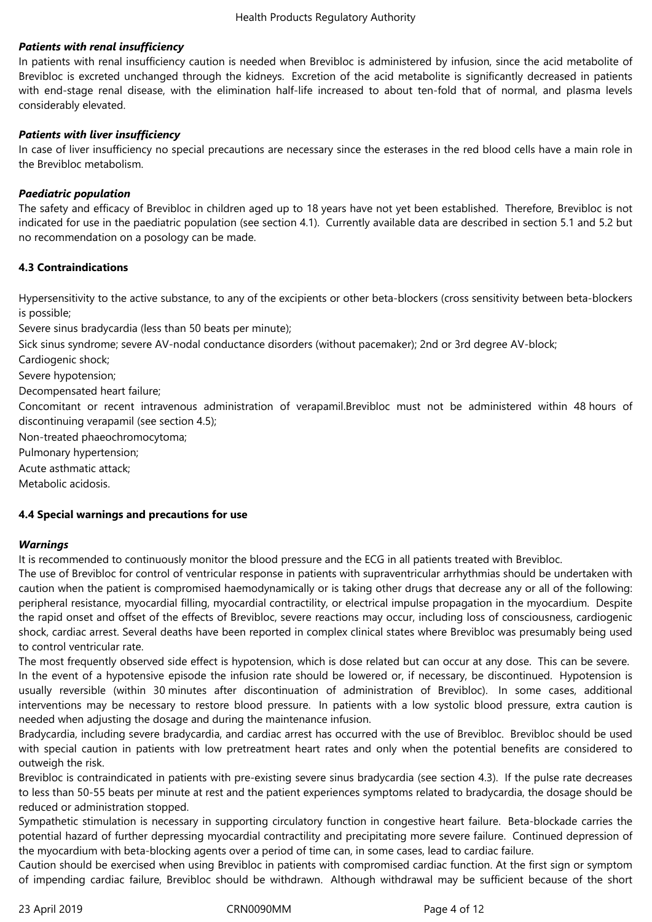## *Patients with renal insufficiency*

In patients with renal insufficiency caution is needed when Brevibloc is administered by infusion, since the acid metabolite of Brevibloc is excreted unchanged through the kidneys. Excretion of the acid metabolite is significantly decreased in patients with end-stage renal disease, with the elimination half-life increased to about ten-fold that of normal, and plasma levels considerably elevated.

## *Patients with liver insufficiency*

In case of liver insufficiency no special precautions are necessary since the esterases in the red blood cells have a main role in the Brevibloc metabolism.

## *Paediatric population*

The safety and efficacy of Brevibloc in children aged up to 18 years have not yet been established. Therefore, Brevibloc is not indicated for use in the paediatric population (see section 4.1). Currently available data are described in section 5.1 and 5.2 but no recommendation on a posology can be made.

## **4.3 Contraindications**

Hypersensitivity to the active substance, to any of the excipients or other beta-blockers (cross sensitivity between beta-blockers is possible;

Severe sinus bradycardia (less than 50 beats per minute);

Sick sinus syndrome; severe AV-nodal conductance disorders (without pacemaker); 2nd or 3rd degree AV-block;

Cardiogenic shock;

Severe hypotension;

Decompensated heart failure;

Concomitant or recent intravenous administration of verapamil.Brevibloc must not be administered within 48 hours of discontinuing verapamil (see section 4.5);

Non-treated phaeochromocytoma;

Pulmonary hypertension;

Acute asthmatic attack;

Metabolic acidosis.

## **4.4 Special warnings and precautions for use**

## *Warnings*

It is recommended to continuously monitor the blood pressure and the ECG in all patients treated with Brevibloc.

The use of Brevibloc for control of ventricular response in patients with supraventricular arrhythmias should be undertaken with caution when the patient is compromised haemodynamically or is taking other drugs that decrease any or all of the following: peripheral resistance, myocardial filling, myocardial contractility, or electrical impulse propagation in the myocardium. Despite the rapid onset and offset of the effects of Brevibloc, severe reactions may occur, including loss of consciousness, cardiogenic shock, cardiac arrest. Several deaths have been reported in complex clinical states where Brevibloc was presumably being used to control ventricular rate.

The most frequently observed side effect is hypotension, which is dose related but can occur at any dose. This can be severe. In the event of a hypotensive episode the infusion rate should be lowered or, if necessary, be discontinued. Hypotension is usually reversible (within 30 minutes after discontinuation of administration of Brevibloc). In some cases, additional interventions may be necessary to restore blood pressure. In patients with a low systolic blood pressure, extra caution is needed when adjusting the dosage and during the maintenance infusion.

Bradycardia, including severe bradycardia, and cardiac arrest has occurred with the use of Brevibloc. Brevibloc should be used with special caution in patients with low pretreatment heart rates and only when the potential benefits are considered to outweigh the risk.

Brevibloc is contraindicated in patients with pre-existing severe sinus bradycardia (see section 4.3). If the pulse rate decreases to less than 50-55 beats per minute at rest and the patient experiences symptoms related to bradycardia, the dosage should be reduced or administration stopped.

Sympathetic stimulation is necessary in supporting circulatory function in congestive heart failure. Beta-blockade carries the potential hazard of further depressing myocardial contractility and precipitating more severe failure. Continued depression of the myocardium with beta-blocking agents over a period of time can, in some cases, lead to cardiac failure.

Caution should be exercised when using Brevibloc in patients with compromised cardiac function. At the first sign or symptom of impending cardiac failure, Brevibloc should be withdrawn. Although withdrawal may be sufficient because of the short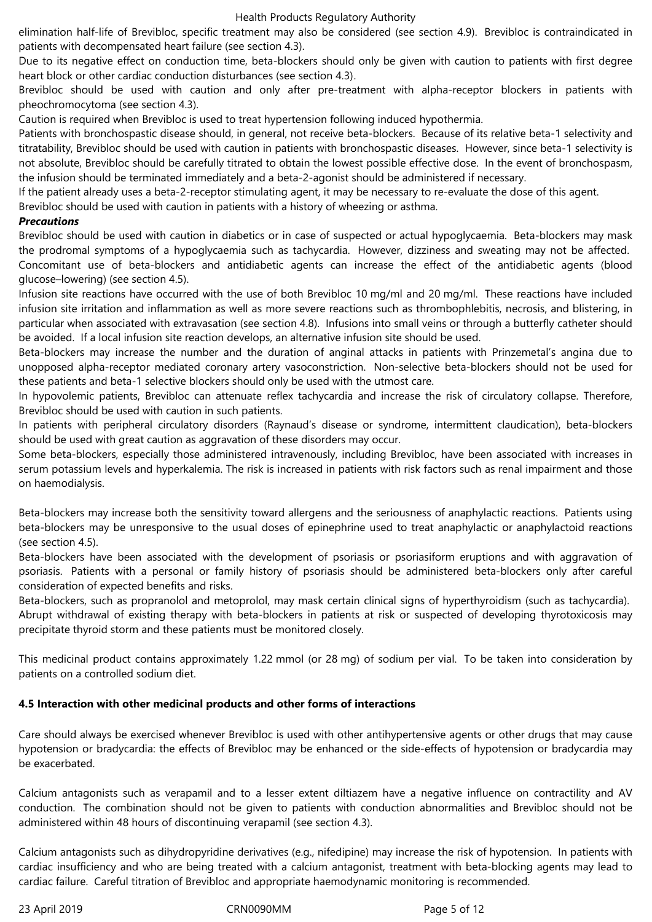elimination half-life of Brevibloc, specific treatment may also be considered (see section 4.9). Brevibloc is contraindicated in patients with decompensated heart failure (see section 4.3).

Due to its negative effect on conduction time, beta-blockers should only be given with caution to patients with first degree heart block or other cardiac conduction disturbances (see section 4.3).

Brevibloc should be used with caution and only after pre-treatment with alpha-receptor blockers in patients with pheochromocytoma(see section 4.3).

Caution is required when Brevibloc is used to treat hypertension following induced hypothermia.

Patients with bronchospastic disease should, in general, not receive beta-blockers. Because of its relative beta-1 selectivity and titratability, Brevibloc should be used with caution in patients with bronchospastic diseases. However, since beta-1 selectivity is not absolute, Brevibloc should be carefully titrated to obtain the lowest possible effective dose. In the event of bronchospasm, the infusion should be terminated immediately and a beta-2-agonist should be administered if necessary.

If the patient already uses a beta-2-receptor stimulating agent, it may be necessary to re-evaluate the dose of this agent.

Brevibloc should be used with caution in patients with a history of wheezing or asthma.

#### *Precautions*

Brevibloc should be used with caution in diabetics or in case of suspected or actual hypoglycaemia. Beta-blockers may mask the prodromal symptoms of a hypoglycaemia such as tachycardia. However, dizziness and sweating may not be affected. Concomitant use of beta-blockers and antidiabetic agents can increase the effect of the antidiabetic agents (blood glucose–lowering)(see section 4.5).

Infusion site reactions have occurred with the use of both Brevibloc 10 mg/ml and 20 mg/ml. These reactions have included infusion site irritation and inflammation as well as more severe reactions such as thrombophlebitis, necrosis, and blistering, in particular when associated with extravasation (see section 4.8). Infusions into small veins or through a butterfly catheter should be avoided. If a local infusion site reaction develops, an alternative infusion site should be used.

Beta-blockers may increase the number and the duration of anginal attacks in patients with Prinzemetal's angina due to unopposed alpha-receptor mediated coronary artery vasoconstriction. Non-selective beta-blockers should not be used for these patients and beta-1 selective blockers should only be used with the utmost care.

In hypovolemic patients, Brevibloc can attenuate reflex tachycardia and increase the risk of circulatory collapse. Therefore, Brevibloc should be used with caution in such patients.

In patients with peripheral circulatory disorders (Raynaud's disease or syndrome, intermittent claudication), beta-blockers should be used with great caution as aggravation of these disorders may occur.

Some beta-blockers, especially those administered intravenously, including Brevibloc, have been associated with increases in serum potassium levels and hyperkalemia. The risk is increased in patients with risk factors such as renal impairment and those on haemodialysis.

Beta-blockers may increase both the sensitivity toward allergens and the seriousness of anaphylactic reactions. Patients using beta-blockers may be unresponsive to the usual doses of epinephrine used to treat anaphylactic or anaphylactoid reactions (see section 4.5).

Beta-blockers have been associated with the development of psoriasis or psoriasiform eruptions and with aggravation of psoriasis. Patients with a personal or family history of psoriasis should be administered beta-blockers only after careful consideration of expected benefits and risks.

Beta-blockers, such as propranolol and metoprolol, may mask certain clinical signs of hyperthyroidism (such as tachycardia). Abrupt withdrawal of existing therapy with beta-blockers in patients at risk or suspected of developing thyrotoxicosis may precipitate thyroid storm and these patients must be monitored closely.

This medicinal product contains approximately 1.22 mmol (or 28 mg) of sodium per vial. To be taken into consideration by patients on a controlled sodium diet.

## **4.5 Interaction with other medicinal products and other forms of interactions**

Care should always be exercised whenever Brevibloc is used with other antihypertensive agents or other drugs that may cause hypotension or bradycardia: the effects of Brevibloc may be enhanced or the side-effects of hypotension or bradycardia may be exacerbated.

Calcium antagonists such as verapamil and to a lesser extent diltiazem have a negative influence on contractility and AV conduction. The combination should not be given to patients with conduction abnormalities and Brevibloc should not be administered within 48 hours of discontinuing verapamil (see section 4.3).

Calcium antagonists such as dihydropyridine derivatives (e.g., nifedipine) may increase the risk of hypotension. In patients with cardiac insufficiency and who are being treated with a calcium antagonist, treatment with beta-blocking agents may lead to cardiac failure. Careful titration of Brevibloc and appropriate haemodynamic monitoring is recommended.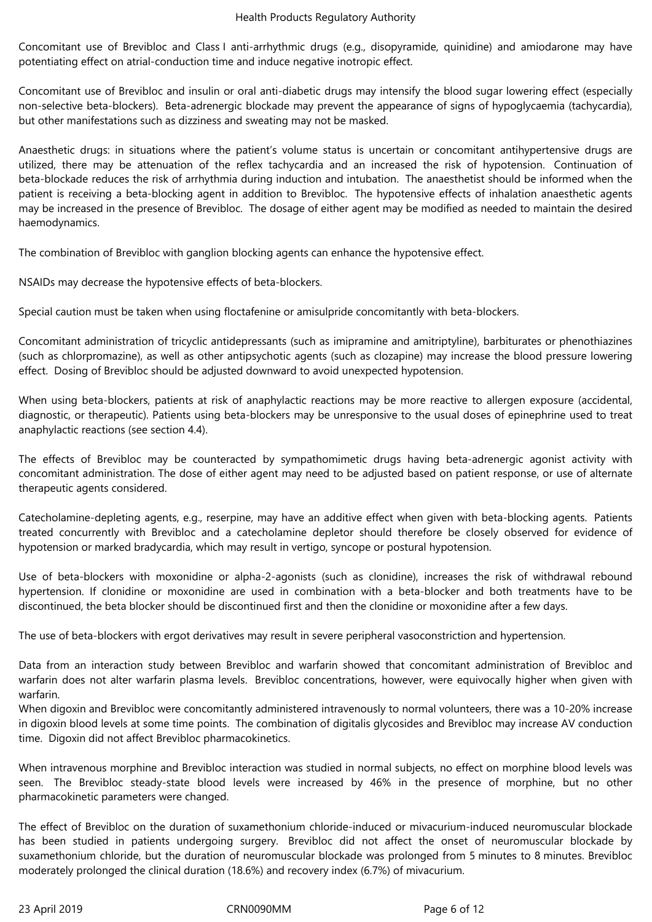Concomitant use of Brevibloc and Class I anti-arrhythmic drugs (e.g., disopyramide, quinidine) and amiodarone may have potentiating effect on atrial-conduction time and induce negative inotropic effect.

Concomitant use of Brevibloc and insulin or oral anti-diabetic drugs may intensify the blood sugar lowering effect (especially non-selective beta-blockers). Beta-adrenergic blockade may prevent the appearance of signs of hypoglycaemia (tachycardia), but other manifestations such as dizziness and sweating may not be masked.

Anaesthetic drugs: in situations where the patient's volume status is uncertain or concomitant antihypertensive drugs are utilized, there may be attenuation of the reflex tachycardia and an increased the risk of hypotension. Continuation of beta-blockade reduces the risk of arrhythmia during induction and intubation. The anaesthetist should be informed when the patient is receiving a beta-blocking agent in addition to Brevibloc. The hypotensive effects of inhalation anaesthetic agents may be increased in the presence of Brevibloc. The dosage of either agent may be modified as needed to maintain the desired haemodynamics.

The combination of Brevibloc with ganglion blocking agents can enhance the hypotensive effect.

NSAIDs may decrease the hypotensive effects of beta-blockers.

Special caution must be taken when using floctafenine or amisulpride concomitantly with beta-blockers.

Concomitant administration of tricyclic antidepressants (such as imipramine and amitriptyline), barbiturates or phenothiazines (such as chlorpromazine), as well as other antipsychotic agents (such as clozapine) may increase the blood pressure lowering effect. Dosing of Brevibloc should be adjusted downward to avoid unexpected hypotension.

When using beta-blockers, patients at risk of anaphylactic reactions may be more reactive to allergen exposure (accidental, diagnostic, or therapeutic). Patients using beta-blockers may be unresponsive to the usual doses of epinephrine used to treat anaphylactic reactions (see section 4.4).

The effects of Brevibloc may be counteracted by sympathomimetic drugs having beta-adrenergic agonist activity with concomitant administration. The dose of either agent may need to be adjusted based on patient response, or use of alternate therapeutic agents considered.

Catecholamine-depleting agents, e.g., reserpine, may have an additive effect when given with beta-blocking agents. Patients treated concurrently with Brevibloc and a catecholamine depletor should therefore be closely observed for evidence of hypotension or marked bradycardia, which may result in vertigo, syncope or postural hypotension.

Use of beta-blockers with moxonidine or alpha-2-agonists (such as clonidine), increases the risk of withdrawal rebound hypertension. If clonidine or moxonidine are used in combination with a beta-blocker and both treatments have to be discontinued, the beta blocker should be discontinued first and then the clonidine or moxonidine after a few days.

The use of beta-blockers with ergot derivatives may result in severe peripheral vasoconstriction and hypertension.

Data from an interaction study between Brevibloc and warfarin showed that concomitant administration of Brevibloc and warfarin does not alter warfarin plasma levels. Brevibloc concentrations, however, were equivocally higher when given with warfarin.

When digoxin and Brevibloc were concomitantly administered intravenously to normal volunteers, there was a 10-20% increase in digoxin blood levels at some time points. The combination of digitalis glycosides and Brevibloc may increase AV conduction time. Digoxin did not affect Brevibloc pharmacokinetics.

When intravenous morphine and Brevibloc interaction was studied in normal subjects, no effect on morphine blood levels was seen. The Brevibloc steady-state blood levels were increased by 46% in the presence of morphine, but no other pharmacokinetic parameters were changed.

The effect of Brevibloc on the duration of suxamethonium chloride-induced or mivacurium-induced neuromuscular blockade has been studied in patients undergoing surgery. Brevibloc did not affect the onset of neuromuscular blockade by suxamethonium chloride, but the duration of neuromuscular blockade was prolonged from 5 minutes to 8 minutes. Brevibloc moderately prolonged the clinical duration (18.6%) and recovery index (6.7%) of mivacurium.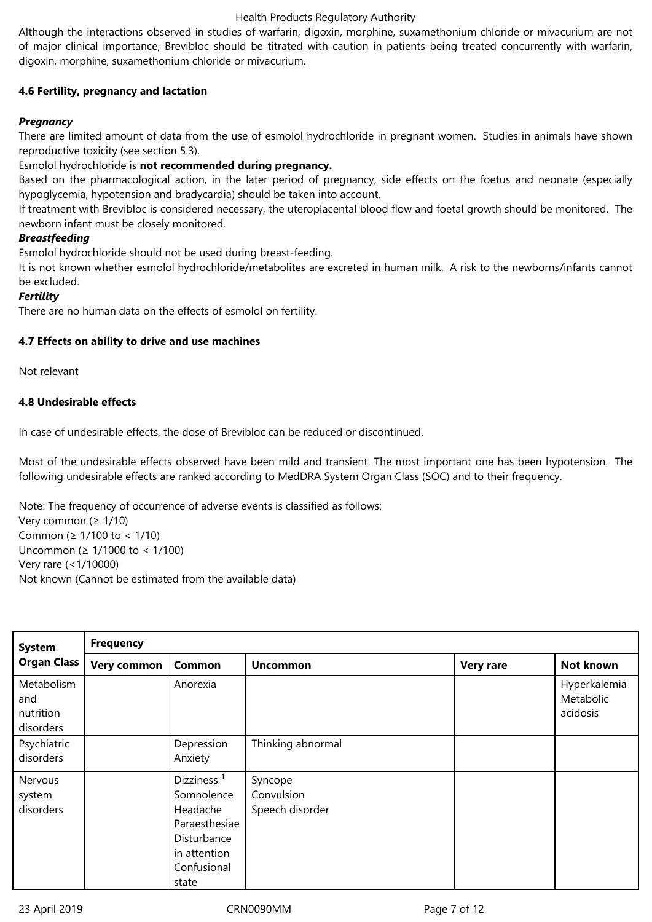## Health Products Regulatory Authority

Although the interactions observed in studies of warfarin, digoxin, morphine, suxamethonium chloride or mivacurium are not of major clinical importance, Brevibloc should be titrated with caution in patients being treated concurrently with warfarin, digoxin, morphine, suxamethonium chloride or mivacurium.

## **4.6 Fertility, pregnancy and lactation**

## *Pregnancy*

There are limited amount of data from the use of esmolol hydrochloride in pregnant women. Studies in animals have shown reproductive toxicity (see section 5.3).

## Esmolol hydrochloride is not recommended during pregnancy.

Based on the pharmacological action, in the later period of pregnancy, side effects on the foetus and neonate (especially hypoglycemia, hypotension and bradycardia) should be taken into account.

If treatment with Brevibloc is considered necessary, the uteroplacental blood flow and foetal growth should be monitored. The newborn infant must be closely monitored.

## *Breastfeeding*

Esmolol hydrochloride should not be used during breast-feeding.

It is not known whether esmolol hydrochloride/metabolites are excreted in human milk. A risk to the newborns/infants cannot be excluded.

## *Fertility*

There are no human data on the effects of esmolol on fertility.

## **4.7 Effects on ability to drive and use machines**

Not relevant

# **4.8 Undesirable effects**

In case of undesirable effects, the dose of Brevibloc can be reduced or discontinued.

Most of the undesirable effects observed have been mild and transient. The most important one has been hypotension. The following undesirable effects are ranked according to MedDRA System Organ Class (SOC) and to their frequency.

Note: The frequency of occurrence of adverse events is classified as follows: Verycommon(≥ 1/10) Common ( $\geq 1/100$  to < 1/10) Uncommon ( $≥$  1/1000 to < 1/100) Veryrare(<1/10000) Not known (Cannot be estimated from the available data)

| <b>System</b>                               | <b>Frequency</b> |                                                                                                                          |                                          |                  |                                       |  |  |  |
|---------------------------------------------|------------------|--------------------------------------------------------------------------------------------------------------------------|------------------------------------------|------------------|---------------------------------------|--|--|--|
| <b>Organ Class</b>                          | Very common      | Common                                                                                                                   | <b>Uncommon</b>                          | <b>Very rare</b> | Not known                             |  |  |  |
| Metabolism<br>and<br>nutrition<br>disorders |                  | Anorexia                                                                                                                 |                                          |                  | Hyperkalemia<br>Metabolic<br>acidosis |  |  |  |
| Psychiatric<br>disorders                    |                  | Depression<br>Anxiety                                                                                                    | Thinking abnormal                        |                  |                                       |  |  |  |
| Nervous<br>system<br>disorders              |                  | Dizziness <sup>1</sup><br>Somnolence<br>Headache<br>Paraesthesiae<br>Disturbance<br>in attention<br>Confusional<br>state | Syncope<br>Convulsion<br>Speech disorder |                  |                                       |  |  |  |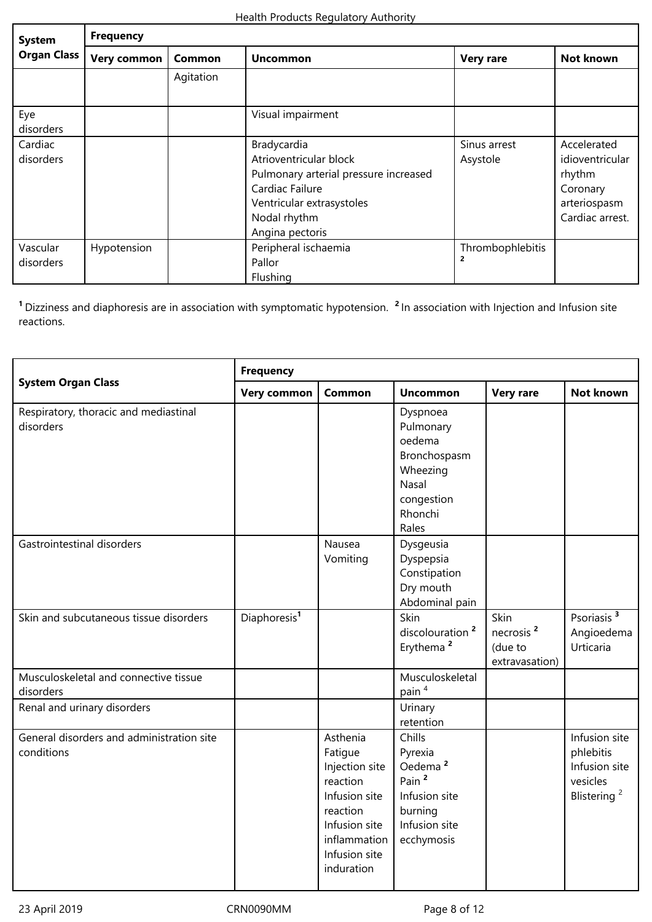| <b>System</b>         | <b>Frequency</b>   |               |                                                                                                                                                                   |                          |                                                                                         |  |  |  |
|-----------------------|--------------------|---------------|-------------------------------------------------------------------------------------------------------------------------------------------------------------------|--------------------------|-----------------------------------------------------------------------------------------|--|--|--|
| <b>Organ Class</b>    | <b>Very common</b> | <b>Common</b> | <b>Uncommon</b>                                                                                                                                                   | <b>Very rare</b>         | Not known                                                                               |  |  |  |
|                       |                    | Agitation     |                                                                                                                                                                   |                          |                                                                                         |  |  |  |
| Eye<br>disorders      |                    |               | Visual impairment                                                                                                                                                 |                          |                                                                                         |  |  |  |
| Cardiac<br>disorders  |                    |               | Bradycardia<br>Atrioventricular block<br>Pulmonary arterial pressure increased<br>Cardiac Failure<br>Ventricular extrasystoles<br>Nodal rhythm<br>Angina pectoris | Sinus arrest<br>Asystole | Accelerated<br>idioventricular<br>rhythm<br>Coronary<br>arteriospasm<br>Cardiac arrest. |  |  |  |
| Vascular<br>disorders | Hypotension        |               | Peripheral ischaemia<br>Pallor<br>Flushing                                                                                                                        | Thrombophlebitis         |                                                                                         |  |  |  |

<sup>1</sup> Dizziness and diaphoresis are in association with symptomatic hypotension. <sup>2</sup> In association with Injection and Infusion site reactions.

|                                                         | <b>Frequency</b>         |                                                                                                                                                |                                                                                                                          |                                                            |                                                                                    |  |  |
|---------------------------------------------------------|--------------------------|------------------------------------------------------------------------------------------------------------------------------------------------|--------------------------------------------------------------------------------------------------------------------------|------------------------------------------------------------|------------------------------------------------------------------------------------|--|--|
| <b>System Organ Class</b>                               | Very common              | Common                                                                                                                                         | <b>Uncommon</b>                                                                                                          | <b>Very rare</b>                                           | <b>Not known</b>                                                                   |  |  |
| Respiratory, thoracic and mediastinal<br>disorders      |                          |                                                                                                                                                | Dyspnoea<br>Pulmonary<br>oedema<br>Bronchospasm<br>Wheezing<br>Nasal<br>congestion<br>Rhonchi<br>Rales                   |                                                            |                                                                                    |  |  |
| Gastrointestinal disorders                              |                          | Nausea<br>Vomiting                                                                                                                             | Dysgeusia<br>Dyspepsia<br>Constipation<br>Dry mouth<br>Abdominal pain                                                    |                                                            |                                                                                    |  |  |
| Skin and subcutaneous tissue disorders                  | Diaphoresis <sup>1</sup> |                                                                                                                                                | Skin<br>discolouration <sup>2</sup><br>Erythema <sup>2</sup>                                                             | Skin<br>necrosis <sup>2</sup><br>(due to<br>extravasation) | Psoriasis <sup>3</sup><br>Angioedema<br>Urticaria                                  |  |  |
| Musculoskeletal and connective tissue<br>disorders      |                          |                                                                                                                                                | Musculoskeletal<br>pain <sup>4</sup>                                                                                     |                                                            |                                                                                    |  |  |
| Renal and urinary disorders                             |                          |                                                                                                                                                | Urinary<br>retention                                                                                                     |                                                            |                                                                                    |  |  |
| General disorders and administration site<br>conditions |                          | Asthenia<br>Fatigue<br>Injection site<br>reaction<br>Infusion site<br>reaction<br>Infusion site<br>inflammation<br>Infusion site<br>induration | Chills<br>Pyrexia<br>Oedema <sup>2</sup><br>Pain <sup>2</sup><br>Infusion site<br>burning<br>Infusion site<br>ecchymosis |                                                            | Infusion site<br>phlebitis<br>Infusion site<br>vesicles<br>Blistering <sup>2</sup> |  |  |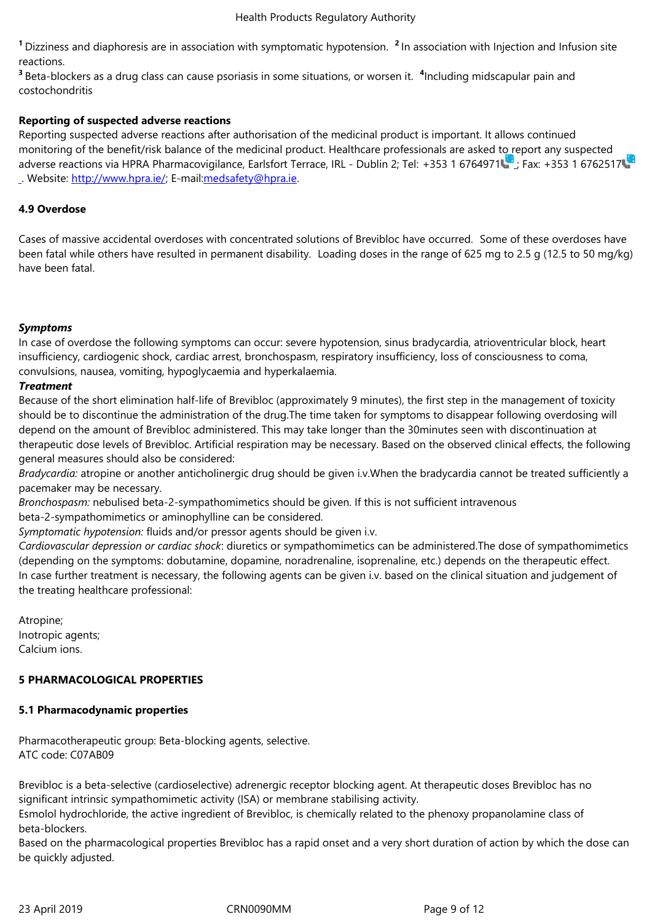reactions.

<sup>3</sup> Beta-blockers as a drug class can cause psoriasis in some situations, or worsen it. <sup>4</sup>Including midscapular pain and costochondritis

# **Reporting of suspected adverse reactions**

Reporting suspected adverse reactions after authorisation of the medicinal product is important. It allows continued monitoring of the benefit/risk balance of the medicinal product. Healthcare professionals are asked to report any suspected adverse reactions via HPRA Pharmacovigilance, Earlsfort Terrace, IRL - Dublin 2; Tel: +353 1 6764971 ;Fax: +353 1 6762517 . Website: http://www.hpra.ie/; E-mail: medsafety@hpra.ie.

# **4.9 Overdose**

Cases of massive accidental overdoses with concentrated solutions of Brevibloc have occurred. Some of these overdoses have been fatal while others have resulted in permanent disability. Loading doses in the range of 625 mg to 2.5 g (12.5 to 50 mg/kg) have been fatal.

## *Symptoms*

In case of overdose the following symptoms can occur: severe hypotension, sinus bradycardia, atrioventricular block, heart insufficiency, cardiogenic shock, cardiac arrest, bronchospasm, respiratory insufficiency, loss of consciousness to coma, convulsions, nausea, vomiting, hypoglycaemia and hyperkalaemia.

## *Treatment*

Because of the short elimination half-life of Brevibloc (approximately 9 minutes), the first step in the management of toxicity should be to discontinue the administration of the drug.The time taken for symptoms to disappear following overdosing will depend on the amount of Brevibloc administered. This may take longer than the 30minutes seen with discontinuation at therapeutic dose levels of Brevibloc. Artificial respiration may be necessary. Based on the observed clinical effects, the following general measures should also be considered:

*Bradycardia:* atropine or another anticholinergic drug should be given i.v.When the bradycardia cannot be treated sufficiently a pacemaker may be necessary.

*Bronchospasm:* nebulised beta-2-sympathomimetics should be given. If this is not sufficient intravenous

beta-2-sympathomimetics or aminophylline can be considered.

*Symptomatic hypotension:* fluids and/or pressor agents should be given i.v.

*Cardiovascular depression or cardiac shock*: diuretics or sympathomimetics can be administered.The dose of sympathomimetics (depending on the symptoms: dobutamine, dopamine, noradrenaline, isoprenaline, etc.) depends on the therapeutic effect. In case further treatment is necessary, the following agents can be given i.v. based on the clinical situation and judgement of the treating healthcare professional:

Atropine; Inotropic agents; Calcium ions.

# **5 PHARMACOLOGICAL PROPERTIES**

## **5.1 Pharmacodynamic properties**

Pharmacotherapeutic group: Beta-blocking agents, selective. ATC code: C07AB09

Brevibloc is a beta-selective (cardioselective) adrenergic receptor blocking agent. At therapeutic doses Brevibloc has no significant intrinsic sympathomimetic activity (ISA) or membrane stabilising activity.

Esmolol hydrochloride, the active ingredient of Brevibloc, is chemically related to the phenoxy propanolamine class of beta-blockers.

Based on the pharmacological properties Brevibloc has a rapid onset and a very short duration of action by which the dose can be quickly adjusted.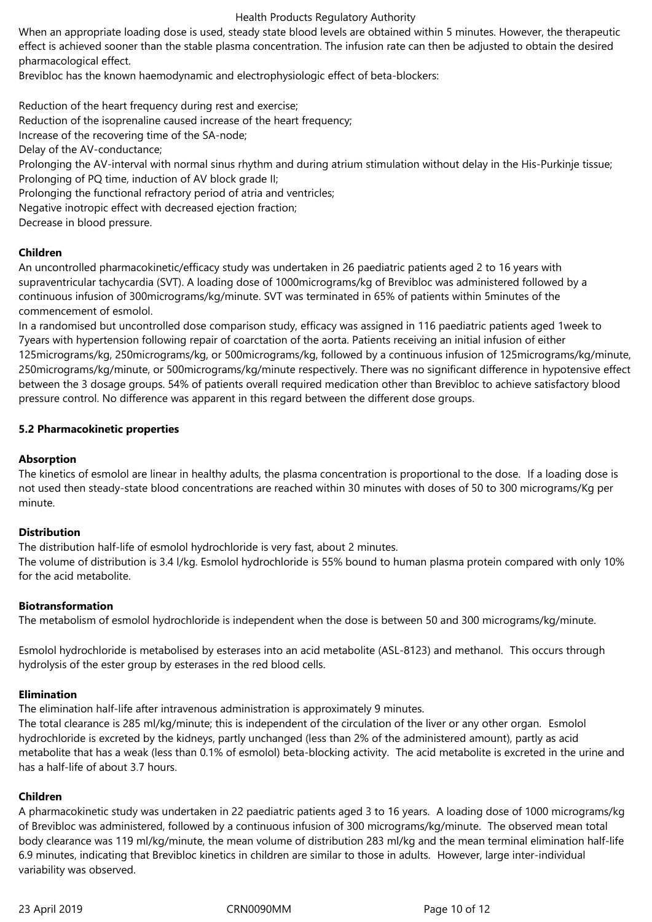#### Health Products Regulatory Authority

When an appropriate loading dose is used, steady state blood levels are obtained within 5 minutes. However, the therapeutic effect is achieved sooner than the stable plasma concentration. The infusion rate can then be adjusted to obtain the desired pharmacological effect.

Brevibloc has the known haemodynamic and electrophysiologic effect of beta-blockers:

Reduction of the heart frequency during rest and exercise; Reduction of the isoprenaline caused increase of the heart frequency; Increase of the recovering time of the SA-node; Delay of the AV-conductance; Prolonging the AV-interval with normal sinus rhythm and during atrium stimulation without delay in the His-Purkinje tissue; Prolonging of PQ time, induction of AV block grade II; Prolonging the functional refractory period of atria and ventricles; Negative inotropic effect with decreased ejection fraction; Decrease in blood pressure.

## **Children**

An uncontrolled pharmacokinetic/efficacy study was undertaken in 26 paediatric patients aged 2 to 16 years with supraventricular tachycardia (SVT). A loading dose of 1000micrograms/kg of Brevibloc was administered followed by a continuous infusion of 300micrograms/kg/minute. SVT was terminated in 65% of patients within 5minutes of the commencement of esmolol.

In a randomised but uncontrolled dose comparison study, efficacy was assigned in 116 paediatric patients aged 1week to 7years with hypertension following repair of coarctation of the aorta. Patients receiving an initial infusion of either 125micrograms/kg, 250micrograms/kg, or 500micrograms/kg, followed by a continuous infusion of 125micrograms/kg/minute, 250micrograms/kg/minute, or 500micrograms/kg/minute respectively. There was no significant difference in hypotensive effect between the 3 dosage groups. 54% of patients overall required medication other than Brevibloc to achieve satisfactory blood pressure control. No difference was apparent in this regard between the different dose groups.

## **5.2 Pharmacokinetic properties**

## **Absorption**

The kinetics of esmolol are linear in healthy adults, the plasma concentration is proportional to the dose. If a loading dose is not used then steady-state blood concentrations are reached within 30 minutes with doses of 50 to 300 micrograms/Kg per minute.

## **Distribution**

The distribution half-life of esmolol hydrochloride is very fast, about 2 minutes.

The volume of distribution is 3.4 l/kg. Esmolol hydrochloride is 55% bound to human plasma protein compared with only 10% for the acid metabolite.

## **Biotransformation**

The metabolism of esmolol hydrochloride is independent when the dose is between 50 and 300 micrograms/kg/minute.

Esmolol hydrochloride is metabolised by esterases into an acid metabolite (ASL-8123) and methanol. This occurs through hydrolysis of the ester group by esterases in the red blood cells.

## **Elimination**

The elimination half-life after intravenous administration is approximately 9 minutes.

The total clearance is 285 ml/kg/minute; this is independent of the circulation of the liver or any other organ. Esmolol hydrochloride is excreted by the kidneys, partly unchanged (less than 2% of the administered amount), partly as acid metabolite that has a weak (less than 0.1% of esmolol) beta-blocking activity. The acid metabolite is excreted in the urine and has a half-life of about 3.7 hours.

## **Children**

A pharmacokinetic study was undertaken in 22 paediatric patients aged 3 to 16 years. A loading dose of 1000 micrograms/kg of Brevibloc was administered, followed by a continuous infusion of 300 micrograms/kg/minute. The observed mean total body clearance was 119 ml/kg/minute, the mean volume of distribution 283 ml/kg and the mean terminal elimination half-life 6.9 minutes, indicating that Brevibloc kinetics in children are similar to those in adults. However, large inter-individual variability was observed.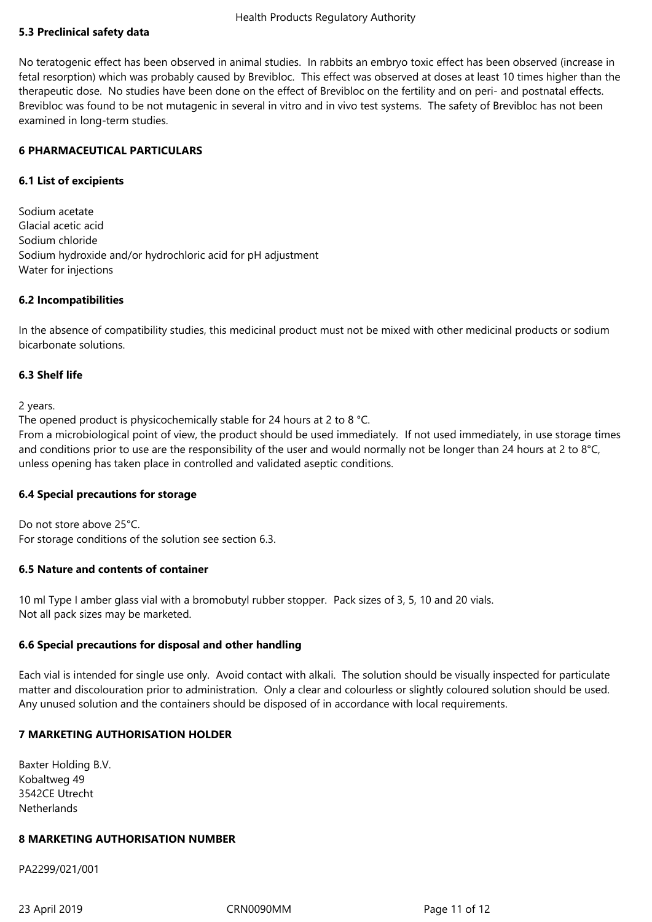## **5.3 Preclinical safety data**

No teratogenic effect has been observed in animal studies. In rabbits an embryo toxic effect has been observed (increase in fetal resorption) which was probably caused by Brevibloc. This effect was observed at doses at least 10 times higher than the therapeutic dose. No studies have been done on the effect of Brevibloc on the fertility and on peri- and postnatal effects. Brevibloc was found to be not mutagenic in several in vitro and in vivo test systems. The safety of Brevibloc has not been examined in long-term studies.

## **6 PHARMACEUTICAL PARTICULARS**

## **6.1 List of excipients**

Sodium acetate Glacial acetic acid Sodium chloride Sodium hydroxide and/or hydrochloric acid for pH adjustment Water for injections

## **6.2 Incompatibilities**

In the absence of compatibility studies, this medicinal product must not be mixed with other medicinal products or sodium bicarbonate solutions.

## **6.3 Shelf life**

2 years.

The opened product is physicochemically stable for 24 hours at 2 to 8 °C.

From a microbiological point of view, the product should be used immediately. If not used immediately, in use storage times and conditions prior to use are the responsibility of the user and would normally not be longer than 24 hours at 2 to 8°C, unless opening has taken place in controlled and validated aseptic conditions.

## **6.4 Special precautions for storage**

Do not store above 25°C. For storage conditions of the solution see section 6.3.

## **6.5 Nature and contents of container**

10 ml Type I amber glass vial with a bromobutyl rubber stopper. Pack sizes of 3, 5, 10 and 20 vials. Not all pack sizes may be marketed.

## **6.6 Special precautions for disposal and other handling**

Each vial is intended for single use only. Avoid contact with alkali. The solution should be visually inspected for particulate matter and discolouration prior to administration. Only a clear and colourless or slightly coloured solution should be used. Any unused solution and the containers should be disposed of in accordance with local requirements.

## **7 MARKETING AUTHORISATION HOLDER**

Baxter Holding B.V. Kobaltweg 49 3542CE Utrecht **Netherlands** 

## **8 MARKETING AUTHORISATION NUMBER**

PA2299/021/001

23April2019 CRN0090MM Page11of12